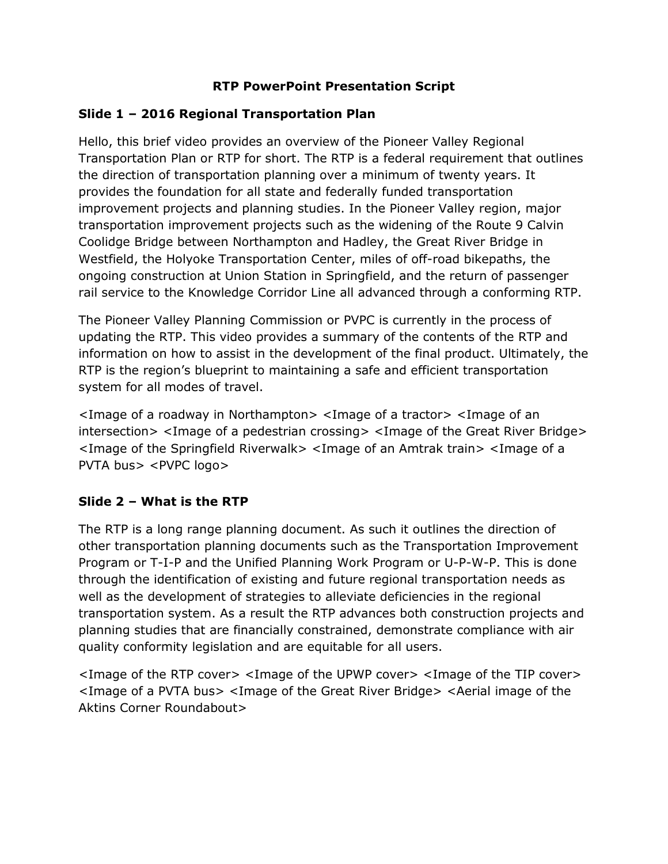### **RTP PowerPoint Presentation Script**

### **Slide 1 – 2016 Regional Transportation Plan**

Hello, this brief video provides an overview of the Pioneer Valley Regional Transportation Plan or RTP for short. The RTP is a federal requirement that outlines the direction of transportation planning over a minimum of twenty years. It provides the foundation for all state and federally funded transportation improvement projects and planning studies. In the Pioneer Valley region, major transportation improvement projects such as the widening of the Route 9 Calvin Coolidge Bridge between Northampton and Hadley, the Great River Bridge in Westfield, the Holyoke Transportation Center, miles of off-road bikepaths, the ongoing construction at Union Station in Springfield, and the return of passenger rail service to the Knowledge Corridor Line all advanced through a conforming RTP.

The Pioneer Valley Planning Commission or PVPC is currently in the process of updating the RTP. This video provides a summary of the contents of the RTP and information on how to assist in the development of the final product. Ultimately, the RTP is the region's blueprint to maintaining a safe and efficient transportation system for all modes of travel.

<Image of a roadway in Northampton> <Image of a tractor> <Image of an intersection> <Image of a pedestrian crossing> <Image of the Great River Bridge> <Image of the Springfield Riverwalk> <Image of an Amtrak train> <Image of a PVTA bus> <PVPC logo>

### **Slide 2 – What is the RTP**

The RTP is a long range planning document. As such it outlines the direction of other transportation planning documents such as the Transportation Improvement Program or T-I-P and the Unified Planning Work Program or U-P-W-P. This is done through the identification of existing and future regional transportation needs as well as the development of strategies to alleviate deficiencies in the regional transportation system. As a result the RTP advances both construction projects and planning studies that are financially constrained, demonstrate compliance with air quality conformity legislation and are equitable for all users.

<Image of the RTP cover> <Image of the UPWP cover> <Image of the TIP cover> <Image of a PVTA bus> <Image of the Great River Bridge> <Aerial image of the Aktins Corner Roundabout>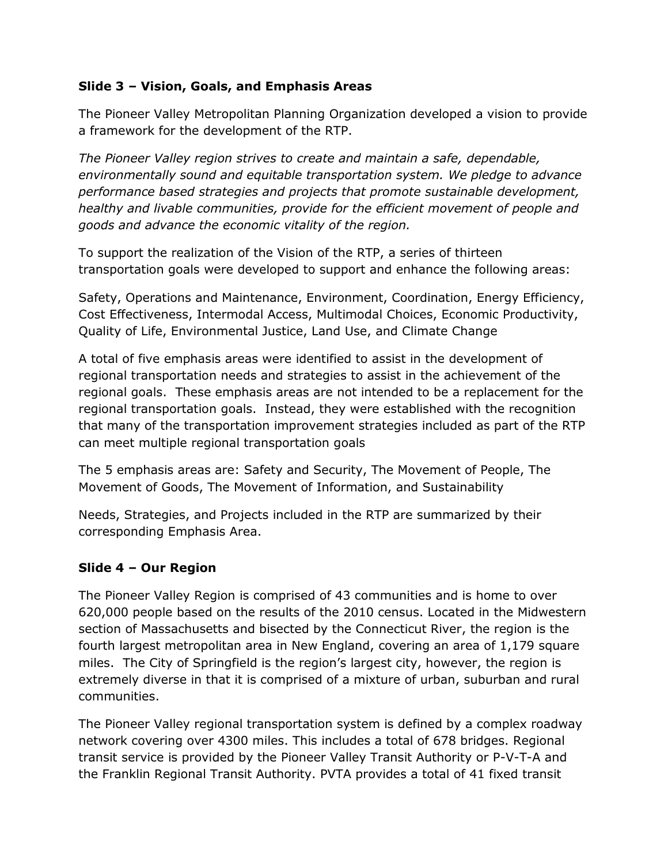### **Slide 3 – Vision, Goals, and Emphasis Areas**

The Pioneer Valley Metropolitan Planning Organization developed a vision to provide a framework for the development of the RTP.

*The Pioneer Valley region strives to create and maintain a safe, dependable, environmentally sound and equitable transportation system. We pledge to advance performance based strategies and projects that promote sustainable development, healthy and livable communities, provide for the efficient movement of people and goods and advance the economic vitality of the region.*

To support the realization of the Vision of the RTP, a series of thirteen transportation goals were developed to support and enhance the following areas:

Safety, Operations and Maintenance, Environment, Coordination, Energy Efficiency, Cost Effectiveness, Intermodal Access, Multimodal Choices, Economic Productivity, Quality of Life, Environmental Justice, Land Use, and Climate Change

A total of five emphasis areas were identified to assist in the development of regional transportation needs and strategies to assist in the achievement of the regional goals. These emphasis areas are not intended to be a replacement for the regional transportation goals. Instead, they were established with the recognition that many of the transportation improvement strategies included as part of the RTP can meet multiple regional transportation goals

The 5 emphasis areas are: Safety and Security, The Movement of People, The Movement of Goods, The Movement of Information, and Sustainability

Needs, Strategies, and Projects included in the RTP are summarized by their corresponding Emphasis Area.

### **Slide 4 – Our Region**

The Pioneer Valley Region is comprised of 43 communities and is home to over 620,000 people based on the results of the 2010 census. Located in the Midwestern section of Massachusetts and bisected by the Connecticut River, the region is the fourth largest metropolitan area in New England, covering an area of 1,179 square miles. The City of Springfield is the region's largest city, however, the region is extremely diverse in that it is comprised of a mixture of urban, suburban and rural communities.

The Pioneer Valley regional transportation system is defined by a complex roadway network covering over 4300 miles. This includes a total of 678 bridges. Regional transit service is provided by the Pioneer Valley Transit Authority or P-V-T-A and the Franklin Regional Transit Authority. PVTA provides a total of 41 fixed transit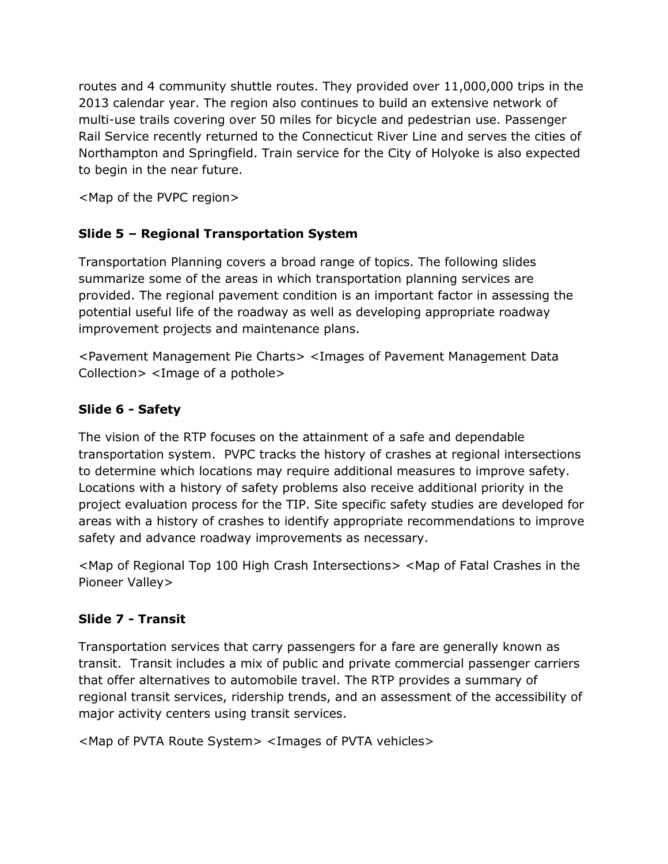routes and 4 community shuttle routes. They provided over 11,000,000 trips in the 2013 calendar year. The region also continues to build an extensive network of multi-use trails covering over 50 miles for bicycle and pedestrian use. Passenger Rail Service recently returned to the Connecticut River Line and serves the cities of Northampton and Springfield. Train service for the City of Holyoke is also expected to begin in the near future.

<Map of the PVPC region>

### **Slide 5 – Regional Transportation System**

Transportation Planning covers a broad range of topics. The following slides summarize some of the areas in which transportation planning services are provided. The regional pavement condition is an important factor in assessing the potential useful life of the roadway as well as developing appropriate roadway improvement projects and maintenance plans.

<Pavement Management Pie Charts> <Images of Pavement Management Data Collection> <Image of a pothole>

### **Slide 6 - Safety**

The vision of the RTP focuses on the attainment of a safe and dependable transportation system. PVPC tracks the history of crashes at regional intersections to determine which locations may require additional measures to improve safety. Locations with a history of safety problems also receive additional priority in the project evaluation process for the TIP. Site specific safety studies are developed for areas with a history of crashes to identify appropriate recommendations to improve safety and advance roadway improvements as necessary.

<Map of Regional Top 100 High Crash Intersections> <Map of Fatal Crashes in the Pioneer Valley>

### **Slide 7 - Transit**

Transportation services that carry passengers for a fare are generally known as transit. Transit includes a mix of public and private commercial passenger carriers that offer alternatives to automobile travel. The RTP provides a summary of regional transit services, ridership trends, and an assessment of the accessibility of major activity centers using transit services.

<Map of PVTA Route System> <Images of PVTA vehicles>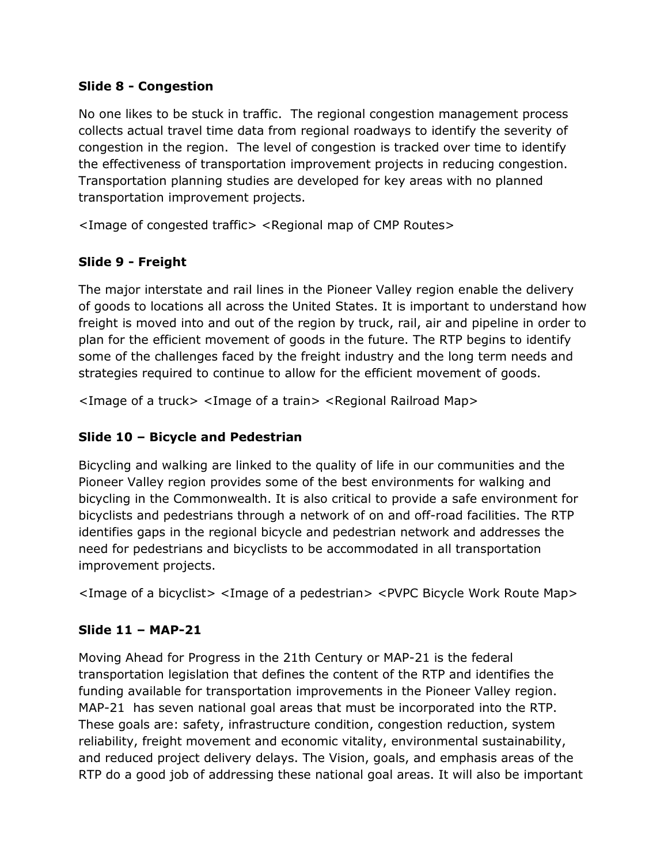#### **Slide 8 - Congestion**

No one likes to be stuck in traffic. The regional congestion management process collects actual travel time data from regional roadways to identify the severity of congestion in the region. The level of congestion is tracked over time to identify the effectiveness of transportation improvement projects in reducing congestion. Transportation planning studies are developed for key areas with no planned transportation improvement projects.

<Image of congested traffic> <Regional map of CMP Routes>

## **Slide 9 - Freight**

The major interstate and rail lines in the Pioneer Valley region enable the delivery of goods to locations all across the United States. It is important to understand how freight is moved into and out of the region by truck, rail, air and pipeline in order to plan for the efficient movement of goods in the future. The RTP begins to identify some of the challenges faced by the freight industry and the long term needs and strategies required to continue to allow for the efficient movement of goods.

<Image of a truck> <Image of a train> <Regional Railroad Map>

## **Slide 10 – Bicycle and Pedestrian**

Bicycling and walking are linked to the quality of life in our communities and the Pioneer Valley region provides some of the best environments for walking and bicycling in the Commonwealth. It is also critical to provide a safe environment for bicyclists and pedestrians through a network of on and off-road facilities. The RTP identifies gaps in the regional bicycle and pedestrian network and addresses the need for pedestrians and bicyclists to be accommodated in all transportation improvement projects.

<Image of a bicyclist> <Image of a pedestrian> <PVPC Bicycle Work Route Map>

## **Slide 11 – MAP-21**

Moving Ahead for Progress in the 21th Century or MAP-21 is the federal transportation legislation that defines the content of the RTP and identifies the funding available for transportation improvements in the Pioneer Valley region. MAP-21 has seven national goal areas that must be incorporated into the RTP. These goals are: safety, infrastructure condition, congestion reduction, system reliability, freight movement and economic vitality, environmental sustainability, and reduced project delivery delays. The Vision, goals, and emphasis areas of the RTP do a good job of addressing these national goal areas. It will also be important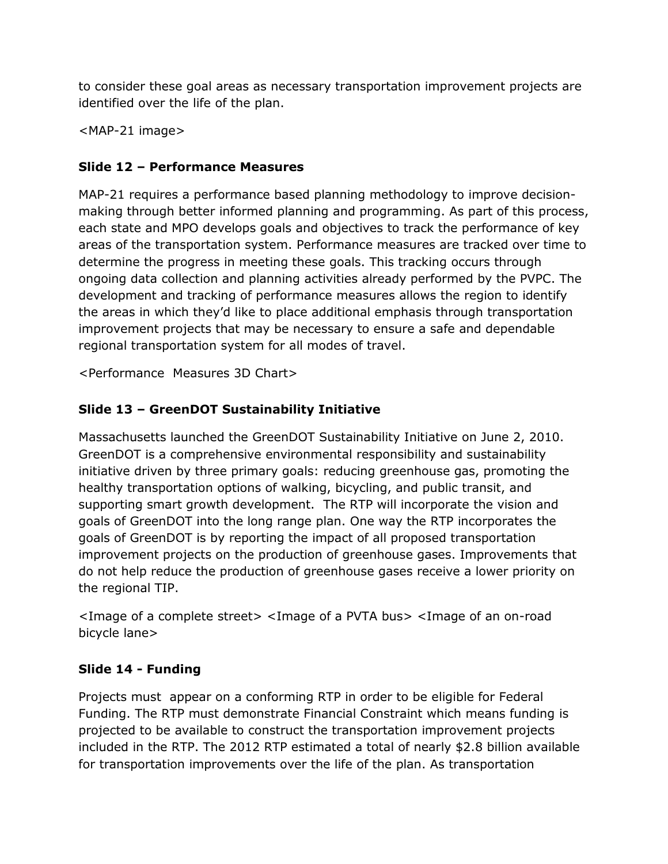to consider these goal areas as necessary transportation improvement projects are identified over the life of the plan.

<MAP-21 image>

# **Slide 12 – Performance Measures**

MAP-21 requires a performance based planning methodology to improve decisionmaking through better informed planning and programming. As part of this process, each state and MPO develops goals and objectives to track the performance of key areas of the transportation system. Performance measures are tracked over time to determine the progress in meeting these goals. This tracking occurs through ongoing data collection and planning activities already performed by the PVPC. The development and tracking of performance measures allows the region to identify the areas in which they'd like to place additional emphasis through transportation improvement projects that may be necessary to ensure a safe and dependable regional transportation system for all modes of travel.

<Performance Measures 3D Chart>

# **Slide 13 – GreenDOT Sustainability Initiative**

Massachusetts launched the GreenDOT Sustainability Initiative on June 2, 2010. GreenDOT is a comprehensive environmental responsibility and sustainability initiative driven by three primary goals: reducing greenhouse gas, promoting the healthy transportation options of walking, bicycling, and public transit, and supporting smart growth development. The RTP will incorporate the vision and goals of GreenDOT into the long range plan. One way the RTP incorporates the goals of GreenDOT is by reporting the impact of all proposed transportation improvement projects on the production of greenhouse gases. Improvements that do not help reduce the production of greenhouse gases receive a lower priority on the regional TIP.

<Image of a complete street> <Image of a PVTA bus> <Image of an on-road bicycle lane>

## **Slide 14 - Funding**

Projects must appear on a conforming RTP in order to be eligible for Federal Funding. The RTP must demonstrate Financial Constraint which means funding is projected to be available to construct the transportation improvement projects included in the RTP. The 2012 RTP estimated a total of nearly \$2.8 billion available for transportation improvements over the life of the plan. As transportation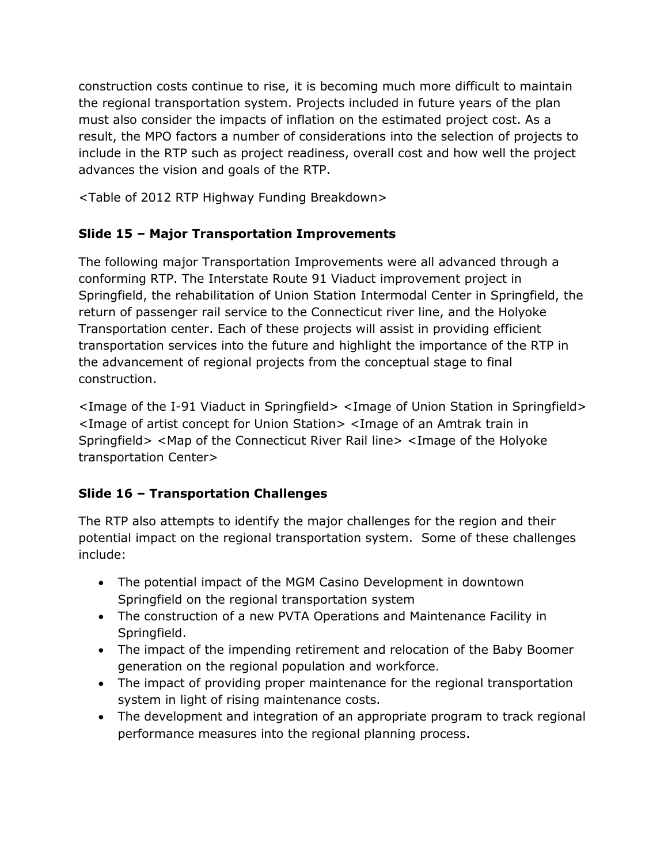construction costs continue to rise, it is becoming much more difficult to maintain the regional transportation system. Projects included in future years of the plan must also consider the impacts of inflation on the estimated project cost. As a result, the MPO factors a number of considerations into the selection of projects to include in the RTP such as project readiness, overall cost and how well the project advances the vision and goals of the RTP.

<Table of 2012 RTP Highway Funding Breakdown>

# **Slide 15 – Major Transportation Improvements**

The following major Transportation Improvements were all advanced through a conforming RTP. The Interstate Route 91 Viaduct improvement project in Springfield, the rehabilitation of Union Station Intermodal Center in Springfield, the return of passenger rail service to the Connecticut river line, and the Holyoke Transportation center. Each of these projects will assist in providing efficient transportation services into the future and highlight the importance of the RTP in the advancement of regional projects from the conceptual stage to final construction.

<Image of the I-91 Viaduct in Springfield> <Image of Union Station in Springfield> <Image of artist concept for Union Station> <Image of an Amtrak train in Springfield> <Map of the Connecticut River Rail line> <Image of the Holyoke transportation Center>

## **Slide 16 – Transportation Challenges**

The RTP also attempts to identify the major challenges for the region and their potential impact on the regional transportation system. Some of these challenges include:

- The potential impact of the MGM Casino Development in downtown Springfield on the regional transportation system
- The construction of a new PVTA Operations and Maintenance Facility in Springfield.
- The impact of the impending retirement and relocation of the Baby Boomer generation on the regional population and workforce.
- The impact of providing proper maintenance for the regional transportation system in light of rising maintenance costs.
- The development and integration of an appropriate program to track regional performance measures into the regional planning process.